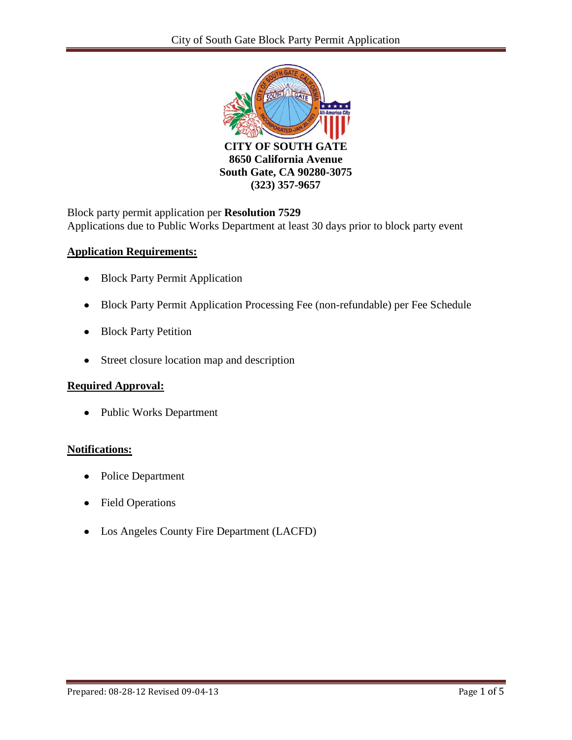

Block party permit application per **Resolution 7529** Applications due to Public Works Department at least 30 days prior to block party event

### **Application Requirements:**

- Block Party Permit Application
- Block Party Permit Application Processing Fee (non-refundable) per Fee Schedule
- Block Party Petition
- Street closure location map and description

## **Required Approval:**

• Public Works Department

### **Notifications:**

- Police Department  $\bullet$
- Field Operations
- Los Angeles County Fire Department (LACFD)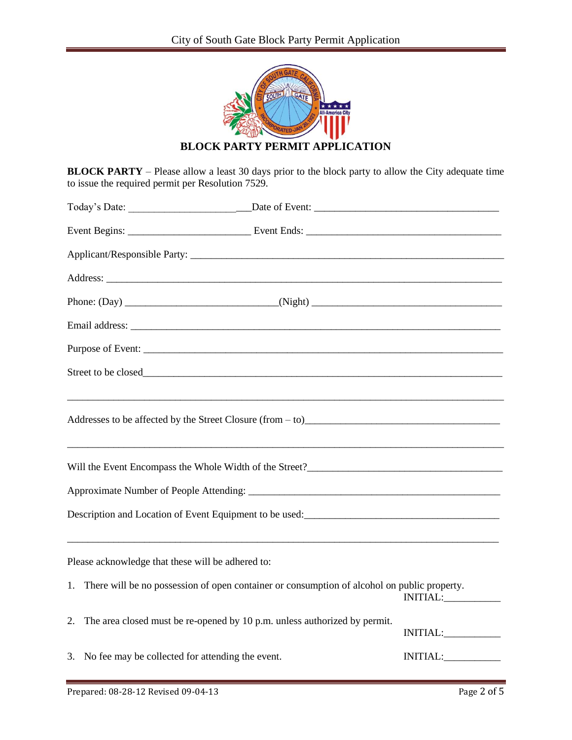

**BLOCK PARTY PERMIT APPLICATION**

**BLOCK PARTY** – Please allow a least 30 days prior to the block party to allow the City adequate time to issue the required permit per Resolution 7529.

| Street to be closed                                                                             |                                                                           |                                                                                             |          |  |  |  |  |  |  |
|-------------------------------------------------------------------------------------------------|---------------------------------------------------------------------------|---------------------------------------------------------------------------------------------|----------|--|--|--|--|--|--|
| Addresses to be affected by the Street Closure (from - to)                                      |                                                                           |                                                                                             |          |  |  |  |  |  |  |
|                                                                                                 |                                                                           |                                                                                             |          |  |  |  |  |  |  |
|                                                                                                 |                                                                           |                                                                                             |          |  |  |  |  |  |  |
| Description and Location of Event Equipment to be used:<br><u>Location</u> contract to be used: |                                                                           |                                                                                             |          |  |  |  |  |  |  |
| Please acknowledge that these will be adhered to:                                               |                                                                           |                                                                                             |          |  |  |  |  |  |  |
| 1.                                                                                              |                                                                           | There will be no possession of open container or consumption of alcohol on public property. | INITIAL: |  |  |  |  |  |  |
| 2.                                                                                              | The area closed must be re-opened by 10 p.m. unless authorized by permit. |                                                                                             | INITIAL: |  |  |  |  |  |  |
|                                                                                                 | 3. No fee may be collected for attending the event.                       |                                                                                             | INITIAL: |  |  |  |  |  |  |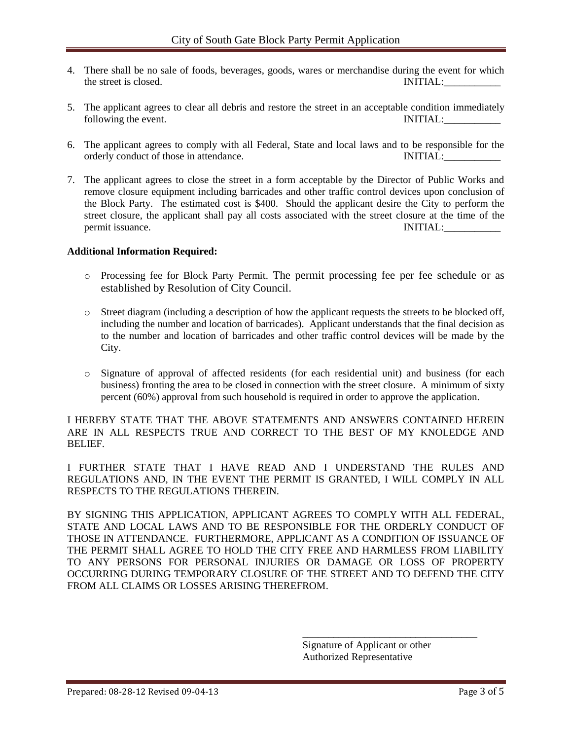- 4. There shall be no sale of foods, beverages, goods, wares or merchandise during the event for which the street is closed. INITIAL:
- 5. The applicant agrees to clear all debris and restore the street in an acceptable condition immediately following the event. INITIAL:
- 6. The applicant agrees to comply with all Federal, State and local laws and to be responsible for the orderly conduct of those in attendance. INITIAL:
- 7. The applicant agrees to close the street in a form acceptable by the Director of Public Works and remove closure equipment including barricades and other traffic control devices upon conclusion of the Block Party. The estimated cost is \$400. Should the applicant desire the City to perform the street closure, the applicant shall pay all costs associated with the street closure at the time of the permit issuance. INITIAL:

#### **Additional Information Required:**

- o Processing fee for Block Party Permit. The permit processing fee per fee schedule or as established by Resolution of City Council.
- o Street diagram (including a description of how the applicant requests the streets to be blocked off, including the number and location of barricades). Applicant understands that the final decision as to the number and location of barricades and other traffic control devices will be made by the City.
- o Signature of approval of affected residents (for each residential unit) and business (for each business) fronting the area to be closed in connection with the street closure. A minimum of sixty percent (60%) approval from such household is required in order to approve the application.

I HEREBY STATE THAT THE ABOVE STATEMENTS AND ANSWERS CONTAINED HEREIN ARE IN ALL RESPECTS TRUE AND CORRECT TO THE BEST OF MY KNOLEDGE AND BELIEF.

I FURTHER STATE THAT I HAVE READ AND I UNDERSTAND THE RULES AND REGULATIONS AND, IN THE EVENT THE PERMIT IS GRANTED, I WILL COMPLY IN ALL RESPECTS TO THE REGULATIONS THEREIN.

BY SIGNING THIS APPLICATION, APPLICANT AGREES TO COMPLY WITH ALL FEDERAL, STATE AND LOCAL LAWS AND TO BE RESPONSIBLE FOR THE ORDERLY CONDUCT OF THOSE IN ATTENDANCE. FURTHERMORE, APPLICANT AS A CONDITION OF ISSUANCE OF THE PERMIT SHALL AGREE TO HOLD THE CITY FREE AND HARMLESS FROM LIABILITY TO ANY PERSONS FOR PERSONAL INJURIES OR DAMAGE OR LOSS OF PROPERTY OCCURRING DURING TEMPORARY CLOSURE OF THE STREET AND TO DEFEND THE CITY FROM ALL CLAIMS OR LOSSES ARISING THEREFROM.

> Signature of Applicant or other Authorized Representative

\_\_\_\_\_\_\_\_\_\_\_\_\_\_\_\_\_\_\_\_\_\_\_\_\_\_\_\_\_\_\_\_\_\_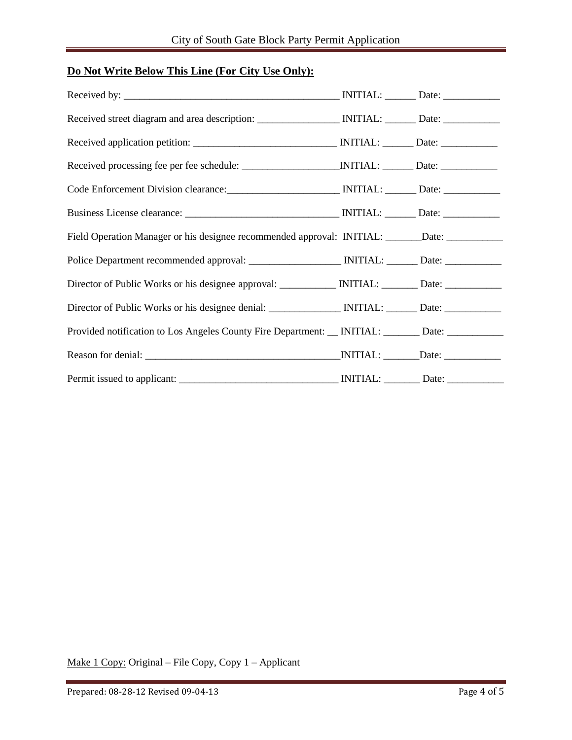## **Do Not Write Below This Line (For City Use Only):**

| Code Enforcement Division clearance: MITIAL: MITIAL: Date: ______________________                   |  |
|-----------------------------------------------------------------------------------------------------|--|
|                                                                                                     |  |
| Field Operation Manager or his designee recommended approval: INITIAL: ______Date: ___________      |  |
|                                                                                                     |  |
| Director of Public Works or his designee approval: ____________ INITIAL: _______ Date: ____________ |  |
|                                                                                                     |  |
| Provided notification to Los Angeles County Fire Department: __ INITIAL: ______ Date: ____________  |  |
|                                                                                                     |  |
|                                                                                                     |  |

Make 1 Copy: Original – File Copy, Copy 1 – Applicant